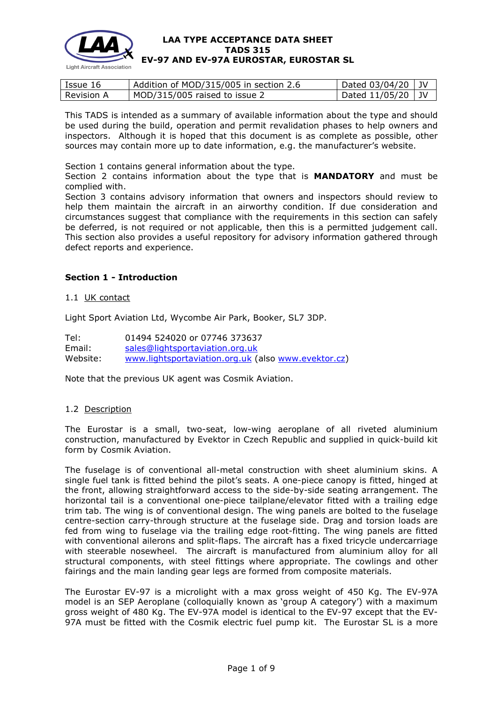

| Issue 16          | Addition of MOD/315/005 in section 2.6 | $\vert$ Dated 03/04/20 $\vert$ JV |  |
|-------------------|----------------------------------------|-----------------------------------|--|
| <b>Revision A</b> | MOD/315/005 raised to issue 2          | Dated $11/05/20$ JV               |  |

This TADS is intended as a summary of available information about the type and should be used during the build, operation and permit revalidation phases to help owners and inspectors. Although it is hoped that this document is as complete as possible, other sources may contain more up to date information, e.g. the manufacturer's website.

Section 1 contains general information about the type.

Section 2 contains information about the type that is **MANDATORY** and must be complied with.

Section 3 contains advisory information that owners and inspectors should review to help them maintain the aircraft in an airworthy condition. If due consideration and circumstances suggest that compliance with the requirements in this section can safely be deferred, is not required or not applicable, then this is a permitted judgement call. This section also provides a useful repository for advisory information gathered through defect reports and experience.

# **Section 1 - Introduction**

## 1.1 UK contact

Light Sport Aviation Ltd, Wycombe Air Park, Booker, SL7 3DP.

Tel: 01494 524020 or 07746 373637 Email: [sales@lightsportaviation.org.uk](mailto:sales@lightsportaviation.org.uk) Website: [www.lightsportaviation.org.uk](http://www.lightsportaviation.org.uk/) (also [www.evektor.cz\)](http://www.evektor.cz/)

Note that the previous UK agent was Cosmik Aviation.

## 1.2 Description

The Eurostar is a small, two-seat, low-wing aeroplane of all riveted aluminium construction, manufactured by Evektor in Czech Republic and supplied in quick-build kit form by Cosmik Aviation.

The fuselage is of conventional all-metal construction with sheet aluminium skins. A single fuel tank is fitted behind the pilot's seats. A one-piece canopy is fitted, hinged at the front, allowing straightforward access to the side-by-side seating arrangement. The horizontal tail is a conventional one-piece tailplane/elevator fitted with a trailing edge trim tab. The wing is of conventional design. The wing panels are bolted to the fuselage centre-section carry-through structure at the fuselage side. Drag and torsion loads are fed from wing to fuselage via the trailing edge root-fitting. The wing panels are fitted with conventional ailerons and split-flaps. The aircraft has a fixed tricycle undercarriage with steerable nosewheel. The aircraft is manufactured from aluminium alloy for all structural components, with steel fittings where appropriate. The cowlings and other fairings and the main landing gear legs are formed from composite materials.

The Eurostar EV-97 is a microlight with a max gross weight of 450 Kg. The EV-97A model is an SEP Aeroplane (colloquially known as 'group A category') with a maximum gross weight of 480 Kg. The EV-97A model is identical to the EV-97 except that the EV-97A must be fitted with the Cosmik electric fuel pump kit. The Eurostar SL is a more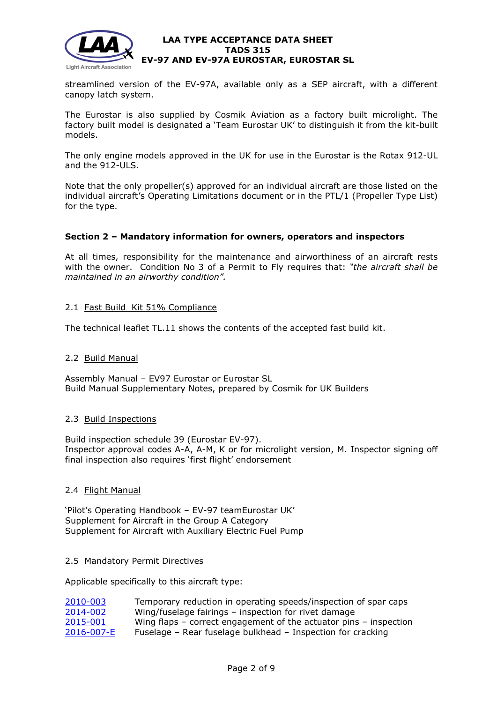

streamlined version of the EV-97A, available only as a SEP aircraft, with a different canopy latch system.

The Eurostar is also supplied by Cosmik Aviation as a factory built microlight. The factory built model is designated a 'Team Eurostar UK' to distinguish it from the kit-built models.

The only engine models approved in the UK for use in the Eurostar is the Rotax 912-UL and the 912-ULS.

Note that the only propeller(s) approved for an individual aircraft are those listed on the individual aircraft's Operating Limitations document or in the PTL/1 (Propeller Type List) for the type.

# **Section 2 – Mandatory information for owners, operators and inspectors**

At all times, responsibility for the maintenance and airworthiness of an aircraft rests with the owner. Condition No 3 of a Permit to Fly requires that: *"the aircraft shall be maintained in an airworthy condition".* 

# 2.1 Fast Build Kit 51% Compliance

The technical leaflet TL.11 shows the contents of the accepted fast build kit.

## 2.2 Build Manual

Assembly Manual – EV97 Eurostar or Eurostar SL Build Manual Supplementary Notes, prepared by Cosmik for UK Builders

## 2.3 Build Inspections

Build inspection schedule 39 (Eurostar EV-97). Inspector approval codes A-A, A-M, K or for microlight version, M. Inspector signing off final inspection also requires 'first flight' endorsement

## 2.4 Flight Manual

'Pilot's Operating Handbook – EV-97 teamEurostar UK' Supplement for Aircraft in the Group A Category Supplement for Aircraft with Auxiliary Electric Fuel Pump

## 2.5 Mandatory Permit Directives

Applicable specifically to this aircraft type:

| 2010-003   | Temporary reduction in operating speeds/inspection of spar caps   |
|------------|-------------------------------------------------------------------|
| 2014-002   | Wing/fuselage fairings - inspection for rivet damage              |
| 2015-001   | Wing flaps – correct engagement of the actuator pins – inspection |
| 2016-007-E | Fuselage – Rear fuselage bulkhead – Inspection for cracking       |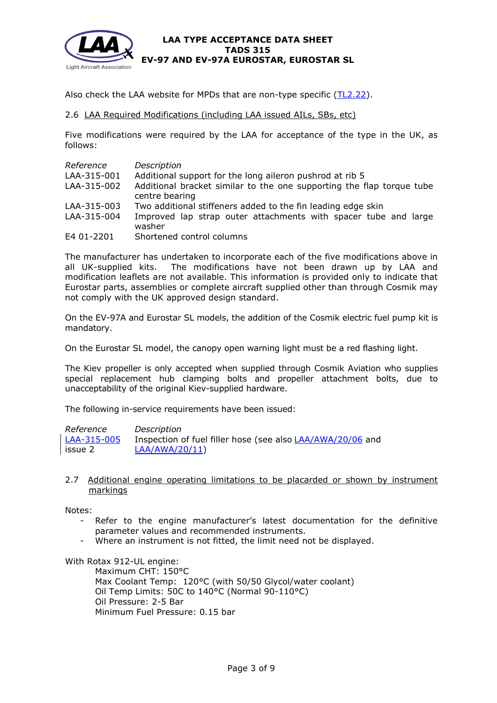

Also check the LAA website for MPDs that are non-type specific [\(TL2.22\)](http://www.lightaircraftassociation.co.uk/engineering/TechnicalLeaflets/Operating%20An%20Aircraft/TL%202.22%20non-type%20specific%20MPDs.pdf).

## 2.6 LAA Required Modifications (including LAA issued AILs, SBs, etc)

Five modifications were required by the LAA for acceptance of the type in the UK, as follows:

| Reference   | Description                                                               |
|-------------|---------------------------------------------------------------------------|
| LAA-315-001 | Additional support for the long aileron pushrod at rib 5                  |
| LAA-315-002 | Additional bracket similar to the one supporting the flap torque tube     |
|             | centre bearing                                                            |
| LAA-315-003 | Two additional stiffeners added to the fin leading edge skin              |
| LAA-315-004 | Improved lap strap outer attachments with spacer tube and large<br>washer |
| E4 01-2201  | Shortened control columns                                                 |

The manufacturer has undertaken to incorporate each of the five modifications above in all UK-supplied kits. The modifications have not been drawn up by LAA and modification leaflets are not available. This information is provided only to indicate that Eurostar parts, assemblies or complete aircraft supplied other than through Cosmik may not comply with the UK approved design standard.

On the EV-97A and Eurostar SL models, the addition of the Cosmik electric fuel pump kit is mandatory.

On the Eurostar SL model, the canopy open warning light must be a red flashing light.

The Kiev propeller is only accepted when supplied through Cosmik Aviation who supplies special replacement hub clamping bolts and propeller attachment bolts, due to unacceptability of the original Kiev-supplied hardware.

The following in-service requirements have been issued:

*Reference Description* [LAA-315-005](http://www.lightaircraftassociation.co.uk/engineering/TADs/315/Mod%20315-005.pdf) issue 2 Inspection of fuel filler hose (see also [LAA/AWA/20/06](http://www.lightaircraftassociation.co.uk/MOD%20315%20Ev-97.pdf) and [LAA/AWA/20/11\)](http://www.lightaircraftassociation.co.uk/engineering/EV-97%20v2.pdf)

## 2.7 Additional engine operating limitations to be placarded or shown by instrument markings

Notes:

- Refer to the engine manufacturer's latest documentation for the definitive parameter values and recommended instruments.
- Where an instrument is not fitted, the limit need not be displayed.

With Rotax 912-UL engine:

Maximum CHT: 150°C Max Coolant Temp: 120°C (with 50/50 Glycol/water coolant) Oil Temp Limits: 50C to 140°C (Normal 90-110°C) Oil Pressure: 2-5 Bar Minimum Fuel Pressure: 0.15 bar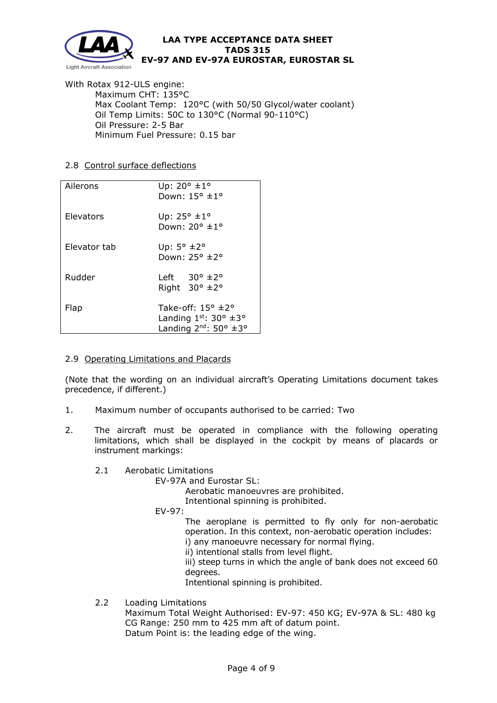

With Rotax 912-ULS engine: Maximum CHT: 135°C Max Coolant Temp: 120°C (with 50/50 Glycol/water coolant) Oil Temp Limits: 50C to 130°C (Normal 90-110°C) Oil Pressure: 2-5 Bar Minimum Fuel Pressure: 0.15 bar

# 2.8 Control surface deflections

| Ailerons     | Up: $20^{\circ}$ $\pm 1^{\circ}$<br>Down: $15^{\circ}$ $\pm 1^{\circ}$                                 |  |
|--------------|--------------------------------------------------------------------------------------------------------|--|
| Elevators    | Up: 25° ±1°<br>Down: 20° ±1°                                                                           |  |
| Elevator tab | Up: $5^{\circ}$ $\pm$ 2°<br>Down: $25^{\circ}$ $\pm$ $2^{\circ}$                                       |  |
| Rudder       | Left $30^{\circ}$ $\pm$ 2°<br>Right $30^\circ \pm 2^\circ$                                             |  |
| Flap         | Take-off: $15^{\circ}$ $\pm$ 2°<br>Landing $1^{st}$ : 30° $\pm$ 3°<br>Landing $2^{nd}$ : 50° $\pm 3$ ° |  |

# 2.9 Operating Limitations and Placards

(Note that the wording on an individual aircraft's Operating Limitations document takes precedence, if different.)

- 1. Maximum number of occupants authorised to be carried: Two
- 2. The aircraft must be operated in compliance with the following operating limitations, which shall be displayed in the cockpit by means of placards or instrument markings:
	- 2.1 Aerobatic Limitations

EV-97A and Eurostar SL:

Aerobatic manoeuvres are prohibited.

Intentional spinning is prohibited.

EV-97:

The aeroplane is permitted to fly only for non-aerobatic operation. In this context, non-aerobatic operation includes:

- i) any manoeuvre necessary for normal flying.
- ii) intentional stalls from level flight.

iii) steep turns in which the angle of bank does not exceed 60 degrees.

Intentional spinning is prohibited.

2.2 Loading Limitations

Maximum Total Weight Authorised: EV-97: 450 KG; EV-97A & SL: 480 kg CG Range: 250 mm to 425 mm aft of datum point. Datum Point is: the leading edge of the wing.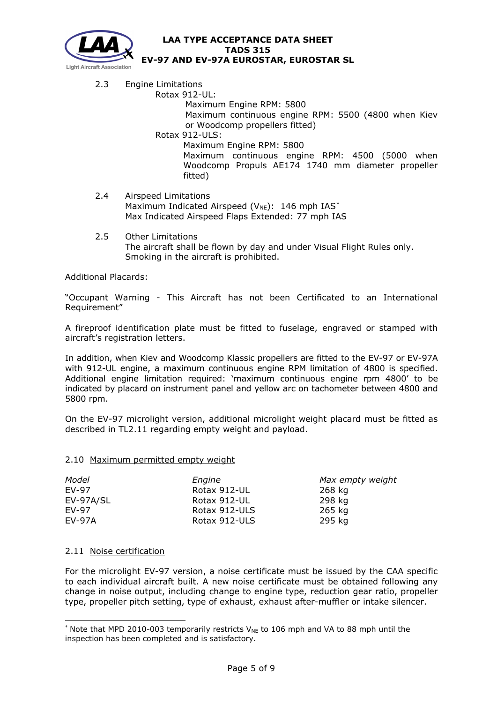

- 2.3 Engine Limitations
	- Rotax 912-UL:

Maximum Engine RPM: 5800

Maximum continuous engine RPM: 5500 (4800 when Kiev or Woodcomp propellers fitted)

Rotax 912-ULS:

Maximum Engine RPM: 5800

Maximum continuous engine RPM: 4500 (5000 when Woodcomp Propuls AE174 1740 mm diameter propeller fitted)

- 2.4 Airspeed Limitations Maximum Indicated Airspeed ( $V_{NE}$ ): 146 mph IAS[\\*](#page-4-0) Max Indicated Airspeed Flaps Extended: 77 mph IAS
- 2.5 Other Limitations The aircraft shall be flown by day and under Visual Flight Rules only. Smoking in the aircraft is prohibited.

Additional Placards:

"Occupant Warning - This Aircraft has not been Certificated to an International Requirement"

A fireproof identification plate must be fitted to fuselage, engraved or stamped with aircraft's registration letters.

In addition, when Kiev and Woodcomp Klassic propellers are fitted to the EV-97 or EV-97A with 912-UL engine, a maximum continuous engine RPM limitation of 4800 is specified. Additional engine limitation required: 'maximum continuous engine rpm 4800' to be indicated by placard on instrument panel and yellow arc on tachometer between 4800 and 5800 rpm.

On the EV-97 microlight version, additional microlight weight placard must be fitted as described in TL2.11 regarding empty weight and payload.

## 2.10 Maximum permitted empty weight

| Model         | Engine        | Max empty weight |
|---------------|---------------|------------------|
| EV-97         | Rotax 912-UL  | 268 kg           |
| EV-97A/SL     | Rotax 912-UL  | 298 kg           |
| EV-97         | Rotax 912-ULS | 265 kg           |
| <b>EV-97A</b> | Rotax 912-ULS | 295 kg           |

## 2.11 Noise certification

For the microlight EV-97 version, a noise certificate must be issued by the CAA specific to each individual aircraft built. A new noise certificate must be obtained following any change in noise output, including change to engine type, reduction gear ratio, propeller type, propeller pitch setting, type of exhaust, exhaust after-muffler or intake silencer.

<span id="page-4-0"></span><sup>\*</sup> Note that MPD 2010-003 temporarily restricts  $V_{\text{NE}}$  to 106 mph and VA to 88 mph until the inspection has been completed and is satisfactory.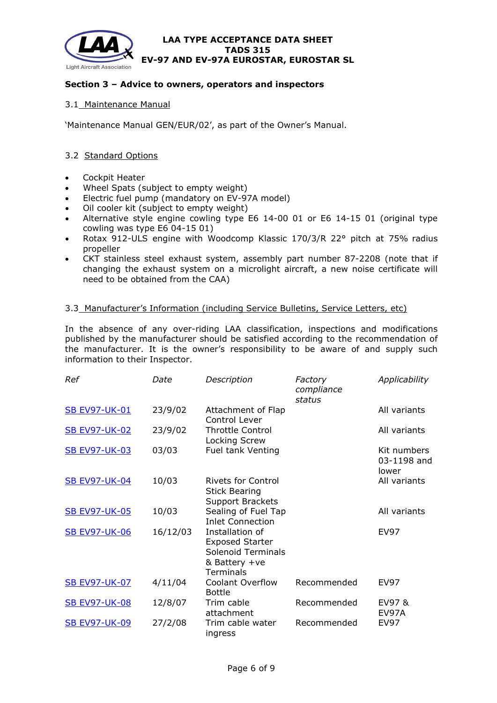

# **Section 3 – Advice to owners, operators and inspectors**

## 3.1 Maintenance Manual

'Maintenance Manual GEN/EUR/02', as part of the Owner's Manual.

# 3.2 Standard Options

- Cockpit Heater
- Wheel Spats (subject to empty weight)
- Electric fuel pump (mandatory on EV-97A model)
- Oil cooler kit (subject to empty weight)
- Alternative style engine cowling type E6 14-00 01 or E6 14-15 01 (original type cowling was type E6 04-15 01)
- Rotax 912-ULS engine with Woodcomp Klassic 170/3/R 22° pitch at 75% radius propeller
- CKT stainless steel exhaust system, assembly part number 87-2208 (note that if changing the exhaust system on a microlight aircraft, a new noise certificate will need to be obtained from the CAA)

# 3.3 Manufacturer's Information (including Service Bulletins, Service Letters, etc)

In the absence of any over-riding LAA classification, inspections and modifications published by the manufacturer should be satisfied according to the recommendation of the manufacturer. It is the owner's responsibility to be aware of and supply such information to their Inspector.

| Ref                  | Date     | Description                                                                                                 | Factory<br>compliance<br>status | Applicability                       |
|----------------------|----------|-------------------------------------------------------------------------------------------------------------|---------------------------------|-------------------------------------|
| <b>SB EV97-UK-01</b> | 23/9/02  | Attachment of Flap<br>Control Lever                                                                         |                                 | All variants                        |
| <b>SB EV97-UK-02</b> | 23/9/02  | <b>Throttle Control</b><br>Locking Screw                                                                    |                                 | All variants                        |
| <b>SB EV97-UK-03</b> | 03/03    | Fuel tank Venting                                                                                           |                                 | Kit numbers<br>03-1198 and<br>lower |
| <b>SB EV97-UK-04</b> | 10/03    | <b>Rivets for Control</b><br><b>Stick Bearing</b><br><b>Support Brackets</b>                                |                                 | All variants                        |
| <b>SB EV97-UK-05</b> | 10/03    | Sealing of Fuel Tap<br><b>Inlet Connection</b>                                                              |                                 | All variants                        |
| <b>SB EV97-UK-06</b> | 16/12/03 | Installation of<br><b>Exposed Starter</b><br><b>Solenoid Terminals</b><br>& Battery +ve<br><b>Terminals</b> |                                 | EV97                                |
| <b>SB EV97-UK-07</b> | 4/11/04  | <b>Coolant Overflow</b><br><b>Bottle</b>                                                                    | Recommended                     | <b>EV97</b>                         |
| <b>SB EV97-UK-08</b> | 12/8/07  | Trim cable<br>attachment                                                                                    | Recommended                     | EV97 &<br>EV97A                     |
| <b>SB EV97-UK-09</b> | 27/2/08  | Trim cable water<br>ingress                                                                                 | Recommended                     | <b>EV97</b>                         |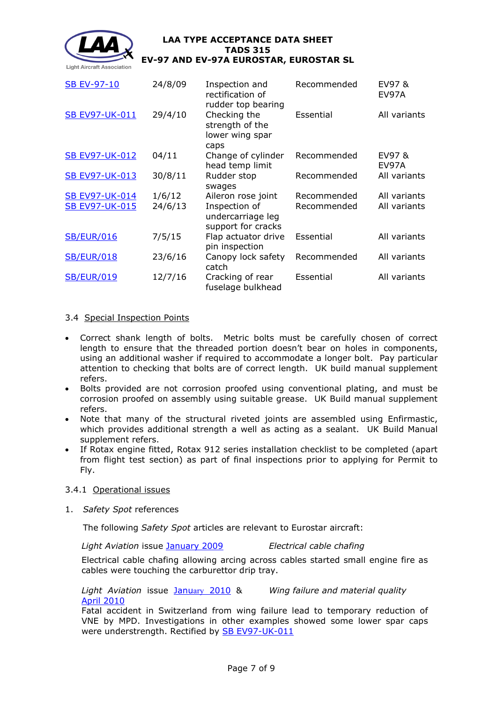

| <b>SB EV-97-10</b>    | 24/8/09 | Inspection and<br>rectification of<br>rudder top bearing | Recommended | EV97&<br>EV97A  |
|-----------------------|---------|----------------------------------------------------------|-------------|-----------------|
| <b>SB EV97-UK-011</b> | 29/4/10 | Checking the<br>strength of the<br>lower wing spar       | Essential   | All variants    |
| <b>SB EV97-UK-012</b> | 04/11   | caps<br>Change of cylinder<br>head temp limit            | Recommended | EV97 &<br>EV97A |
| <b>SB EV97-UK-013</b> | 30/8/11 | Rudder stop<br>swages                                    | Recommended | All variants    |
| <b>SB EV97-UK-014</b> | 1/6/12  | Aileron rose joint                                       | Recommended | All variants    |
| <b>SB EV97-UK-015</b> | 24/6/13 | Inspection of<br>undercarriage leg<br>support for cracks | Recommended | All variants    |
| <b>SB/EUR/016</b>     | 7/5/15  | Flap actuator drive<br>pin inspection                    | Essential   | All variants    |
| <b>SB/EUR/018</b>     | 23/6/16 | Canopy lock safety<br>catch                              | Recommended | All variants    |
| <b>SB/EUR/019</b>     | 12/7/16 | Cracking of rear<br>fuselage bulkhead                    | Essential   | All variants    |

# 3.4 Special Inspection Points

- Correct shank length of bolts. Metric bolts must be carefully chosen of correct length to ensure that the threaded portion doesn't bear on holes in components, using an additional washer if required to accommodate a longer bolt. Pay particular attention to checking that bolts are of correct length. UK build manual supplement refers.
- Bolts provided are not corrosion proofed using conventional plating, and must be corrosion proofed on assembly using suitable grease. UK Build manual supplement refers.
- Note that many of the structural riveted joints are assembled using Enfirmastic, which provides additional strength a well as acting as a sealant. UK Build Manual supplement refers.
- If Rotax engine fitted, Rotax 912 series installation checklist to be completed (apart from flight test section) as part of final inspections prior to applying for Permit to Fly.

## 3.4.1 Operational issues

1. *Safety Spot* references

The following *Safety Spot* articles are relevant to Eurostar aircraft:

*Light Aviation* issue [January 2009](http://www.lightaircraftassociation.co.uk/engineering/SafetyIssues/SafetySpotJan09.pdf) *Electrical cable chafing*

Electrical cable chafing allowing arcing across cables started small engine fire as cables were touching the carburettor drip tray.

*Light Aviation* issue January [2010](http://www.lightaircraftassociation.co.uk/2010/Magazine/Jan/Safety%20Spot%20Jan%2010.pdf) & April [2010](http://www.lightaircraftassociation.co.uk/2010/Magazine/2010/Apr/safety_spot_April_10.pdf) *Wing failure and material quality*

Fatal accident in Switzerland from wing failure lead to temporary reduction of VNE by MPD. Investigations in other examples showed some lower spar caps were understrength. Rectified by **SB EV97-UK-011**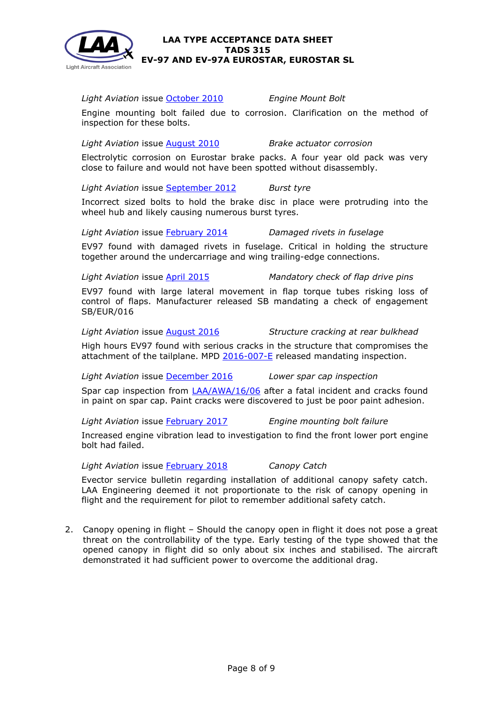

*Light Aviation* issue [October 2010](http://www.lightaircraftassociation.co.uk/2011/Magazine/Oct/Safety%20Spot%20Oct.pdf) *Engine Mount Bolt*

Engine mounting bolt failed due to corrosion. Clarification on the method of inspection for these bolts.

*Light Aviation* issue [August 2010](http://www.lightaircraftassociation.co.uk/2010/Magazine/2010/Aug/Safety%20Spot%20Aug%2010.pdf) *Brake actuator corrosion*

Electrolytic corrosion on Eurostar brake packs. A four year old pack was very close to failure and would not have been spotted without disassembly.

*Light Aviation* issue [September](http://www.lightaircraftassociation.co.uk/2012/Magazine/September/safety%20spot%20sep.pdf) 2012 *Burst tyre*

Incorrect sized bolts to hold the brake disc in place were protruding into the wheel hub and likely causing numerous burst tyres.

*Light Aviation* issue [February](http://www.lightaircraftassociation.co.uk/2014/Mag/Feb/Safety_Feb.pdf) 2014 *Damaged rivets in fuselage*

EV97 found with damaged rivets in fuselage. Critical in holding the structure together around the undercarriage and wing trailing-edge connections.

*Light Aviation* issue [April 2015](http://www.lightaircraftassociation.co.uk/2015/Magazine/Apr/safety.pdf) *Mandatory check of flap drive pins*

EV97 found with large lateral movement in flap torque tubes risking loss of control of flaps. Manufacturer released SB mandating a check of engagement SB/EUR/016

*Light Aviation* issue [August 2016](http://www.lightaircraftassociation.co.uk/2016/Magazine/August/safety_spot.pdf) *Structure cracking at rear bulkhead*

High hours EV97 found with serious cracks in the structure that compromises the attachment of the tailplane. MPD [2016-007-E](http://publicapps.caa.co.uk/docs/33/20160715MPD2016007E.pdf) released mandating inspection.

*Light Aviation* issue [December 2016](http://www.lightaircraftassociation.co.uk/2016/Magazine/Dec/Safety%20Spot.pdf) *Lower spar cap inspection*

Spar cap inspection from [LAA/AWA/16/06](http://www.lightaircraftassociation.co.uk/engineering/Airworthiness/LAA%20AWA%2016%2006.pdf) after a fatal incident and cracks found in paint on spar cap. Paint cracks were discovered to just be poor paint adhesion.

*Light Aviation* issue [February](http://www.lightaircraftassociation.co.uk/2017/Magazine/Feb/safety_spot.pdf) 2017 *Engine mounting bolt failure*

Increased engine vibration lead to investigation to find the front lower port engine bolt had failed.

*Light Aviation* issue [February](http://www.lightaircraftassociation.co.uk/2018/Magazine/B%20-%20Feb/ss_feb.pdf) 2018 *Canopy Catch*

Evector service bulletin regarding installation of additional canopy safety catch. LAA Engineering deemed it not proportionate to the risk of canopy opening in flight and the requirement for pilot to remember additional safety catch.

2. Canopy opening in flight – Should the canopy open in flight it does not pose a great threat on the controllability of the type. Early testing of the type showed that the opened canopy in flight did so only about six inches and stabilised. The aircraft demonstrated it had sufficient power to overcome the additional drag.

**Light Aircraft Association**